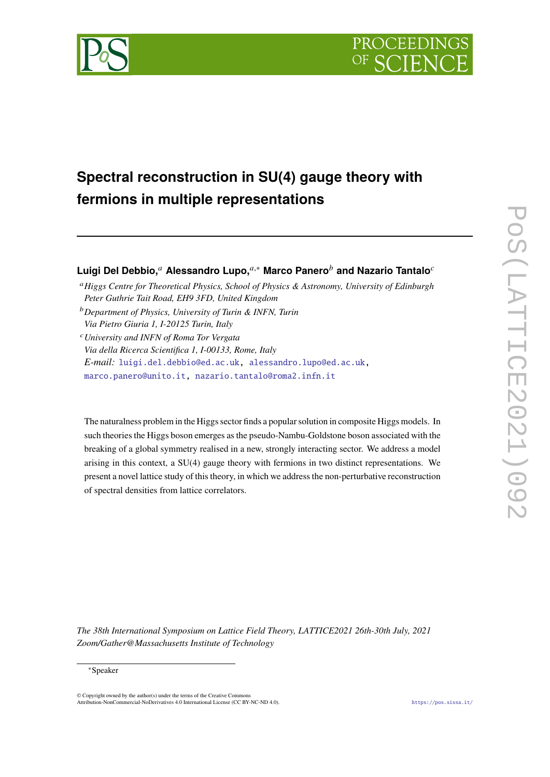



# **Spectral reconstruction in SU(4) gauge theory with fermions in multiple representations**

## **Luigi Del Debbio,**<sup>*a*</sup> Alessandro Lupo,<sup>*a*,∗</sup> Marco Panero<sup>*b*</sup> and Nazario Tantalo<sup>*c*</sup>

- *Higgs Centre for Theoretical Physics, School of Physics & Astronomy, University of Edinburgh Peter Guthrie Tait Road, EH9 3FD, United Kingdom*
- *Department of Physics, University of Turin & INFN, Turin Via Pietro Giuria 1, I-20125 Turin, Italy*
- *University and INFN of Roma Tor Vergata Via della Ricerca Scientifica 1, I-00133, Rome, Italy E-mail:* [luigi.del.debbio@ed.ac.uk,](mailto:luigi.del.debbio@ed.ac.uk) [alessandro.lupo@ed.ac.uk,](mailto:alessandro.lupo@ed.ac.uk) [marco.panero@unito.it,](mailto:marco.panero@unito.it) [nazario.tantalo@roma2.infn.it](mailto:nazario.tantalo@roma2.infn.it)

The naturalness problem in the Higgs sector finds a popular solution in composite Higgs models. In such theories the Higgs boson emerges as the pseudo-Nambu-Goldstone boson associated with the breaking of a global symmetry realised in a new, strongly interacting sector. We address a model arising in this context, a SU(4) gauge theory with fermions in two distinct representations. We present a novel lattice study of this theory, in which we address the non-perturbative reconstruction of spectral densities from lattice correlators.

*The 38th International Symposium on Lattice Field Theory, LATTICE2021 26th-30th July, 2021 Zoom/Gather@Massachusetts Institute of Technology*

#### <sup>∗</sup>Speaker

 $\odot$  Copyright owned by the author(s) under the terms of the Creative Common Attribution-NonCommercial-NoDerivatives 4.0 International License (CC BY-NC-ND 4.0). <https://pos.sissa.it/>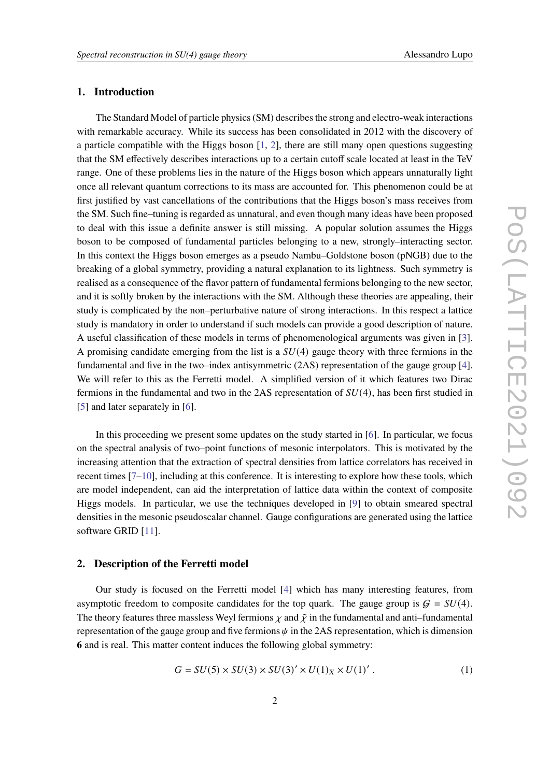## **1. Introduction**

The Standard Model of particle physics (SM) describes the strong and electro-weak interactions with remarkable accuracy. While its success has been consolidated in 2012 with the discovery of a particle compatible with the Higgs boson  $[1, 2]$  $[1, 2]$  $[1, 2]$ , there are still many open questions suggesting that the SM effectively describes interactions up to a certain cutoff scale located at least in the TeV range. One of these problems lies in the nature of the Higgs boson which appears unnaturally light once all relevant quantum corrections to its mass are accounted for. This phenomenon could be at first justified by vast cancellations of the contributions that the Higgs boson's mass receives from the SM. Such fine–tuning is regarded as unnatural, and even though many ideas have been proposed to deal with this issue a definite answer is still missing. A popular solution assumes the Higgs boson to be composed of fundamental particles belonging to a new, strongly–interacting sector. In this context the Higgs boson emerges as a pseudo Nambu–Goldstone boson (pNGB) due to the breaking of a global symmetry, providing a natural explanation to its lightness. Such symmetry is realised as a consequence of the flavor pattern of fundamental fermions belonging to the new sector, and it is softly broken by the interactions with the SM. Although these theories are appealing, their study is complicated by the non–perturbative nature of strong interactions. In this respect a lattice study is mandatory in order to understand if such models can provide a good description of nature. A useful classification of these models in terms of phenomenological arguments was given in [\[3\]](#page-7-2). A promising candidate emerging from the list is a  $SU(4)$  gauge theory with three fermions in the fundamental and five in the two–index antisymmetric (2AS) representation of the gauge group [\[4\]](#page-8-0). We will refer to this as the Ferretti model. A simplified version of it which features two Dirac fermions in the fundamental and two in the 2AS representation of  $SU(4)$ , has been first studied in [\[5\]](#page-8-1) and later separately in [\[6\]](#page-8-2).

In this proceeding we present some updates on the study started in [\[6\]](#page-8-2). In particular, we focus on the spectral analysis of two–point functions of mesonic interpolators. This is motivated by the increasing attention that the extraction of spectral densities from lattice correlators has received in recent times [\[7](#page-8-3)[–10\]](#page-8-4), including at this conference. It is interesting to explore how these tools, which are model independent, can aid the interpretation of lattice data within the context of composite Higgs models. In particular, we use the techniques developed in [\[9\]](#page-8-5) to obtain smeared spectral densities in the mesonic pseudoscalar channel. Gauge configurations are generated using the lattice software GRID [\[11\]](#page-8-6).

### **2. Description of the Ferretti model**

Our study is focused on the Ferretti model [\[4\]](#page-8-0) which has many interesting features, from asymptotic freedom to composite candidates for the top quark. The gauge group is  $G = SU(4)$ . The theory features three massless Weyl fermions  $\chi$  and  $\tilde{\chi}$  in the fundamental and anti–fundamental representation of the gauge group and five fermions  $\psi$  in the 2AS representation, which is dimension **6** and is real. This matter content induces the following global symmetry:

$$
G = SU(5) \times SU(3) \times SU(3)' \times U(1)_X \times U(1)' \tag{1}
$$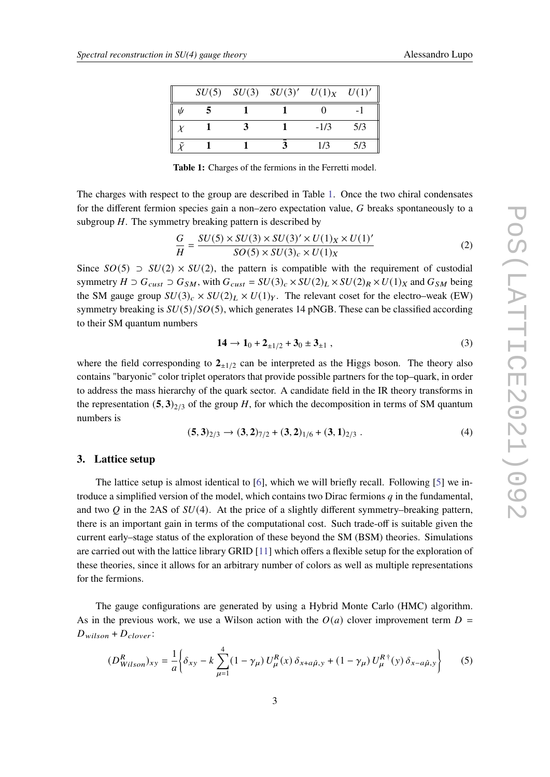<span id="page-2-0"></span>

|  | $SU(5)$ $SU(3)$ $SU(3)'$ $U(1)_X$ $U(1)'$ |        |     |
|--|-------------------------------------------|--------|-----|
|  |                                           |        |     |
|  |                                           | $-1/3$ | 5/3 |
|  |                                           | 1/3    | 5/3 |

**Table 1:** Charges of the fermions in the Ferretti model.

The charges with respect to the group are described in Table [1.](#page-2-0) Once the two chiral condensates for the different fermion species gain a non–zero expectation value,  $G$  breaks spontaneously to a subgroup  $H$ . The symmetry breaking pattern is described by

$$
\frac{G}{H} = \frac{SU(5) \times SU(3) \times SU(3)' \times U(1)_X \times U(1)'}{SO(5) \times SU(3)_c \times U(1)_X}
$$
(2)

Since  $SO(5)$   $\supset SU(2) \times SU(2)$ , the pattern is compatible with the requirement of custodial symmetry  $H \supset G_{\text{cut}} \supset G_{\text{SM}}$ , with  $G_{\text{cut}} = SU(3)_c \times SU(2)_L \times SU(2)_R \times U(1)_X$  and  $G_{\text{SM}}$  being the SM gauge group  $SU(3)_c \times SU(2)_L \times U(1)_Y$ . The relevant coset for the electro–weak (EW) symmetry breaking is  $SU(5)/SO(5)$ , which generates 14 pNGB. These can be classified according to their SM quantum numbers

$$
14 \to 1_0 + 2_{\pm 1/2} + 3_0 \pm 3_{\pm 1} , \qquad (3)
$$

where the field corresponding to  $2_{\pm 1/2}$  can be interpreted as the Higgs boson. The theory also contains "baryonic" color triplet operators that provide possible partners for the top–quark, in order to address the mass hierarchy of the quark sector. A candidate field in the IR theory transforms in the representation  $(5, 3)_{2/3}$  of the group H, for which the decomposition in terms of SM quantum numbers is

$$
(5,3)_{2/3} \rightarrow (3,2)_{7/2} + (3,2)_{1/6} + (3,1)_{2/3} . \tag{4}
$$

## **3. Lattice setup**

The lattice setup is almost identical to [\[6\]](#page-8-2), which we will briefly recall. Following [\[5\]](#page-8-1) we introduce a simplified version of the model, which contains two Dirac fermions  $q$  in the fundamental, and two O in the 2AS of  $SU(4)$ . At the price of a slightly different symmetry–breaking pattern, there is an important gain in terms of the computational cost. Such trade-off is suitable given the current early–stage status of the exploration of these beyond the SM (BSM) theories. Simulations are carried out with the lattice library GRID [\[11\]](#page-8-6) which offers a flexible setup for the exploration of these theories, since it allows for an arbitrary number of colors as well as multiple representations for the fermions.

The gauge configurations are generated by using a Hybrid Monte Carlo (HMC) algorithm. As in the previous work, we use a Wilson action with the  $O(a)$  clover improvement term  $D =$  $D_{wilson} + D_{clover}$ :

$$
(D_{Wilson}^R)_{xy} = \frac{1}{a} \left\{ \delta_{xy} - k \sum_{\mu=1}^4 (1 - \gamma_\mu) U_\mu^R(x) \, \delta_{x + a\hat{\mu}, y} + (1 - \gamma_\mu) U_\mu^R{}^\dagger(y) \, \delta_{x - a\hat{\mu}, y} \right\} \tag{5}
$$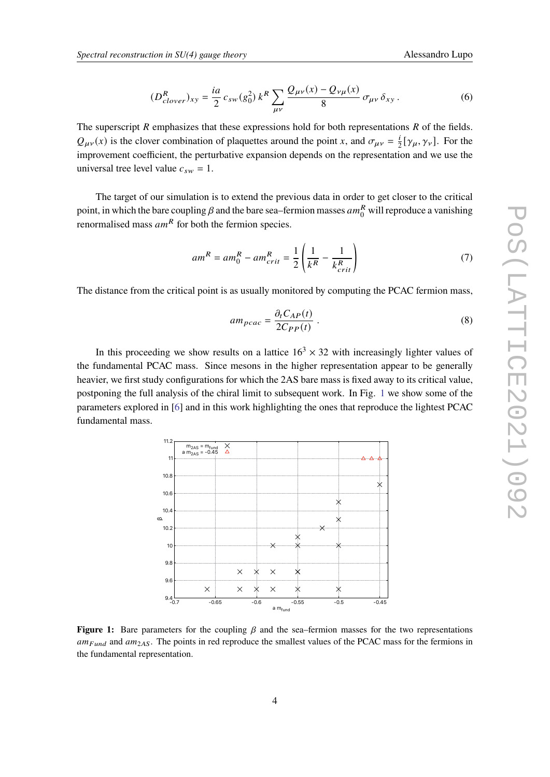$$
(D_{clover}^{R})_{xy} = \frac{ia}{2} c_{sw}(g_0^2) k^R \sum_{\mu\nu} \frac{Q_{\mu\nu}(x) - Q_{\nu\mu}(x)}{8} \sigma_{\mu\nu} \delta_{xy}.
$$
 (6)

The superscript  $R$  emphasizes that these expressions hold for both representations  $R$  of the fields.  $Q_{\mu\nu}(x)$  is the clover combination of plaquettes around the point x, and  $\sigma_{\mu\nu} = \frac{1}{2}$  $\frac{i}{2} [\gamma_{\mu}, \gamma_{\nu}]$ . For the improvement coefficient, the perturbative expansion depends on the representation and we use the universal tree level value  $c_{sw} = 1$ .

The target of our simulation is to extend the previous data in order to get closer to the critical point, in which the bare coupling  $\beta$  and the bare sea–fermion masses  $am_0^R$  will reproduce a vanishing renormalised mass  $am^R$  for both the fermion species.

$$
am^R = am_0^R - am_{crit}^R = \frac{1}{2} \left( \frac{1}{k^R} - \frac{1}{k_{crit}^R} \right) \tag{7}
$$

The distance from the critical point is as usually monitored by computing the PCAC fermion mass,

$$
am_{pcac} = \frac{\partial_t C_{AP}(t)}{2C_{PP}(t)} \tag{8}
$$

In this proceeding we show results on a lattice  $16<sup>3</sup> \times 32$  with increasingly lighter values of the fundamental PCAC mass. Since mesons in the higher representation appear to be generally heavier, we first study configurations for which the 2AS bare mass is fixed away to its critical value, postponing the full analysis of the chiral limit to subsequent work. In Fig. [1](#page-3-0) we show some of the parameters explored in [\[6\]](#page-8-2) and in this work highlighting the ones that reproduce the lightest PCAC fundamental mass.

<span id="page-3-0"></span>

**Figure 1:** Bare parameters for the coupling  $\beta$  and the sea–fermion masses for the two representations  $am_{Fund}$  and  $am_{2AS}$ . The points in red reproduce the smallest values of the PCAC mass for the fermions in the fundamental representation.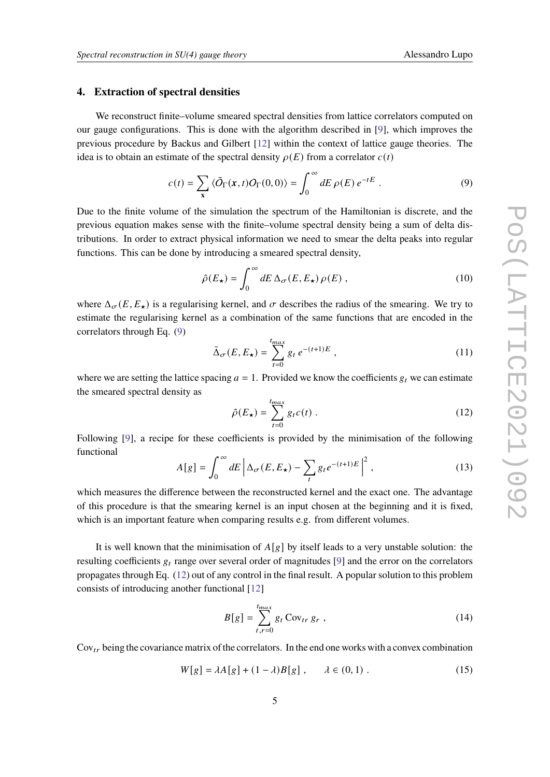#### **4. Extraction of spectral densities**

We reconstruct finite–volume smeared spectral densities from lattice correlators computed on our gauge configurations. This is done with the algorithm described in [\[9\]](#page-8-5), which improves the previous procedure by Backus and Gilbert [\[12\]](#page-8-7) within the context of lattice gauge theories. The idea is to obtain an estimate of the spectral density  $\rho(E)$  from a correlator  $c(t)$ 

<span id="page-4-0"></span>
$$
c(t) = \sum_{\mathbf{x}} \langle \bar{O}_{\Gamma}(\mathbf{x}, t) O_{\Gamma}(0, 0) \rangle = \int_0^\infty dE \, \rho(E) \, e^{-tE} \,. \tag{9}
$$

Due to the finite volume of the simulation the spectrum of the Hamiltonian is discrete, and the previous equation makes sense with the finite–volume spectral density being a sum of delta distributions. In order to extract physical information we need to smear the delta peaks into regular functions. This can be done by introducing a smeared spectral density,

$$
\hat{\rho}(E_{\star}) = \int_0^{\infty} dE \, \Delta_{\sigma}(E, E_{\star}) \, \rho(E) \,, \tag{10}
$$

where  $\Delta_{\sigma}(E, E_{\star})$  is a regularising kernel, and  $\sigma$  describes the radius of the smearing. We try to estimate the regularising kernel as a combination of the same functions that are encoded in the correlators through Eq. [\(9\)](#page-4-0)

$$
\bar{\Delta}_{\sigma}(E, E_{\star}) = \sum_{t=0}^{t_{max}} g_t e^{-(t+1)E} , \qquad (11)
$$

where we are setting the lattice spacing  $a = 1$ . Provided we know the coefficients  $g_t$  we can estimate the smeared spectral density as

<span id="page-4-1"></span>
$$
\hat{\rho}(E_{\star}) = \sum_{t=0}^{t_{max}} g_t c(t) . \qquad (12)
$$

Following [\[9\]](#page-8-5), a recipe for these coefficients is provided by the minimisation of the following functional

<span id="page-4-2"></span>
$$
A[g] = \int_0^\infty dE \left| \Delta_{\sigma}(E, E_\star) - \sum_t g_t e^{-(t+1)E} \right|^2, \tag{13}
$$

which measures the difference between the reconstructed kernel and the exact one. The advantage of this procedure is that the smearing kernel is an input chosen at the beginning and it is fixed, which is an important feature when comparing results e.g. from different volumes.

It is well known that the minimisation of  $A[g]$  by itself leads to a very unstable solution: the resulting coefficients  $g_t$  range over several order of magnitudes [\[9\]](#page-8-5) and the error on the correlators propagates through Eq. [\(12\)](#page-4-1) out of any control in the final result. A popular solution to this problem consists of introducing another functional [\[12\]](#page-8-7)

$$
B[g] = \sum_{t,r=0}^{t_{max}} g_t \operatorname{Cov}_{tr} g_r , \qquad (14)
$$

 $Cov_{tr}$  being the covariance matrix of the correlators. In the end one works with a convex combination

$$
W[g] = \lambda A[g] + (1 - \lambda)B[g], \qquad \lambda \in (0, 1).
$$
 (15)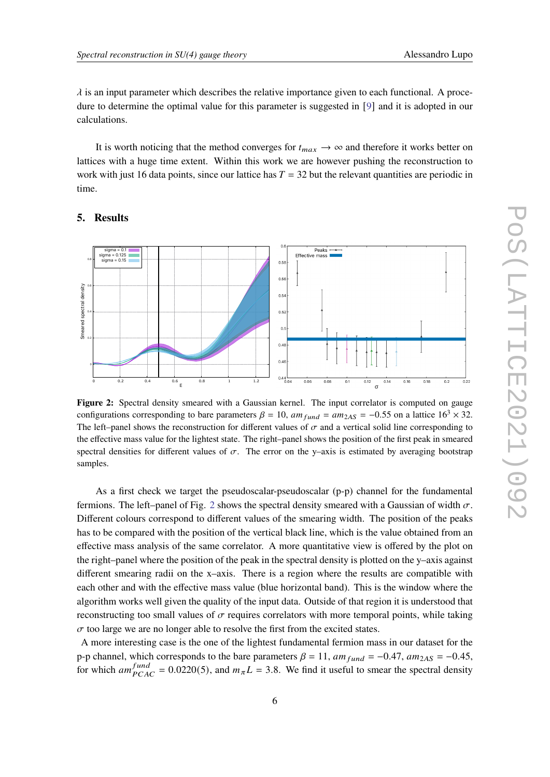$\lambda$  is an input parameter which describes the relative importance given to each functional. A procedure to determine the optimal value for this parameter is suggested in [[9](#page-8-5)] and it is adopted in our calculations.

It is worth noticing that the method converges for  $t_{max} \rightarrow \infty$  and therefore it works better on lattices with a huge time extent. Within this work we are however pushing the reconstruction to work with just 16 data points, since our lattice has  $T = 32$  but the relevant quantities are periodic in time.

<span id="page-5-0"></span>

#### **5. Results**

**Figure 2:** Spectral density smeared with a Gaussian kernel. The input correlator is computed on gauge configurations corresponding to bare parameters  $\beta = 10$ ,  $am_{fund} = am_{2AS} = -0.55$  on a lattice  $16<sup>3</sup> \times 32$ . The left–panel shows the reconstruction for different values of  $\sigma$  and a vertical solid line corresponding to the effective mass value for the lightest state. The right–panel shows the position of the first peak in smeared spectral densities for different values of  $\sigma$ . The error on the y–axis is estimated by averaging bootstrap samples.

As a first check we target the pseudoscalar-pseudoscalar (p-p) channel for the fundamental fermions. The left–panel of Fig. [2](#page-5-0) shows the spectral density smeared with a Gaussian of width  $\sigma$ . Different colours correspond to different values of the smearing width. The position of the peaks has to be compared with the position of the vertical black line, which is the value obtained from an effective mass analysis of the same correlator. A more quantitative view is offered by the plot on the right–panel where the position of the peak in the spectral density is plotted on the y–axis against different smearing radii on the x–axis. There is a region where the results are compatible with each other and with the effective mass value (blue horizontal band). This is the window where the algorithm works well given the quality of the input data. Outside of that region it is understood that reconstructing too small values of  $\sigma$  requires correlators with more temporal points, while taking  $\sigma$  too large we are no longer able to resolve the first from the excited states.

A more interesting case is the one of the lightest fundamental fermion mass in our dataset for the p-p channel, which corresponds to the bare parameters  $\beta = 11$ ,  $am_{fund} = -0.47$ ,  $am_{2AS} = -0.45$ , for which  $am_{PCAC}^{fund} = 0.0220(5)$ , and  $m_{\pi}L = 3.8$ . We find it useful to smear the spectral density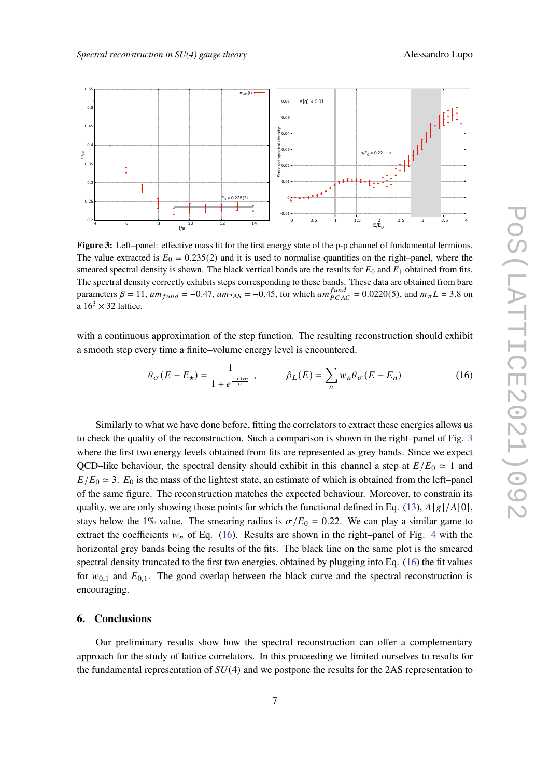<span id="page-6-0"></span>

**Figure 3:** Left–panel: effective mass fit for the first energy state of the p-p channel of fundamental fermions. The value extracted is  $E_0 = 0.235(2)$  and it is used to normalise quantities on the right–panel, where the smeared spectral density is shown. The black vertical bands are the results for  $E_0$  and  $E_1$  obtained from fits. The spectral density correctly exhibits steps corresponding to these bands. These data are obtained from bare parameters  $\beta = 11$ ,  $am_{fund} = -0.47$ ,  $am_{2AS} = -0.45$ , for which  $am_{PCAC}^{fund} = 0.0220(5)$ , and  $m_{\pi}L = 3.8$  on a  $16^3 \times 32$  lattice.

with a continuous approximation of the step function. The resulting reconstruction should exhibit a smooth step every time a finite–volume energy level is encountered.

<span id="page-6-1"></span>
$$
\theta_{\sigma}(E - E_{\star}) = \frac{1}{1 + e^{\frac{-x + m}{\sigma}}}, \qquad \hat{\rho}_L(E) = \sum_{n} w_n \theta_{\sigma}(E - E_n)
$$
(16)

Similarly to what we have done before, fitting the correlators to extract these energies allows us to check the quality of the reconstruction. Such a comparison is shown in the right–panel of Fig. [3](#page-6-0) where the first two energy levels obtained from fits are represented as grey bands. Since we expect QCD–like behaviour, the spectral density should exhibit in this channel a step at  $E/E_0 \approx 1$  and  $E/E_0 \approx 3$ .  $E_0$  is the mass of the lightest state, an estimate of which is obtained from the left–panel of the same figure. The reconstruction matches the expected behaviour. Moreover, to constrain its quality, we are only showing those points for which the functional defined in Eq. [\(13\)](#page-4-2),  $A[g]/A[0]$ , stays below the 1% value. The smearing radius is  $\sigma/E_0 = 0.22$ . We can play a similar game to extract the coefficients  $w_n$  of Eq. [\(16\)](#page-6-1). Results are shown in the right–panel of Fig. [4](#page-7-3) with the horizontal grey bands being the results of the fits. The black line on the same plot is the smeared spectral density truncated to the first two energies, obtained by plugging into Eq. [\(16\)](#page-6-1) the fit values for  $w_{0,1}$  and  $E_{0,1}$ . The good overlap between the black curve and the spectral reconstruction is encouraging.

#### **6. Conclusions**

Our preliminary results show how the spectral reconstruction can offer a complementary approach for the study of lattice correlators. In this proceeding we limited ourselves to results for the fundamental representation of  $SU(4)$  and we postpone the results for the 2AS representation to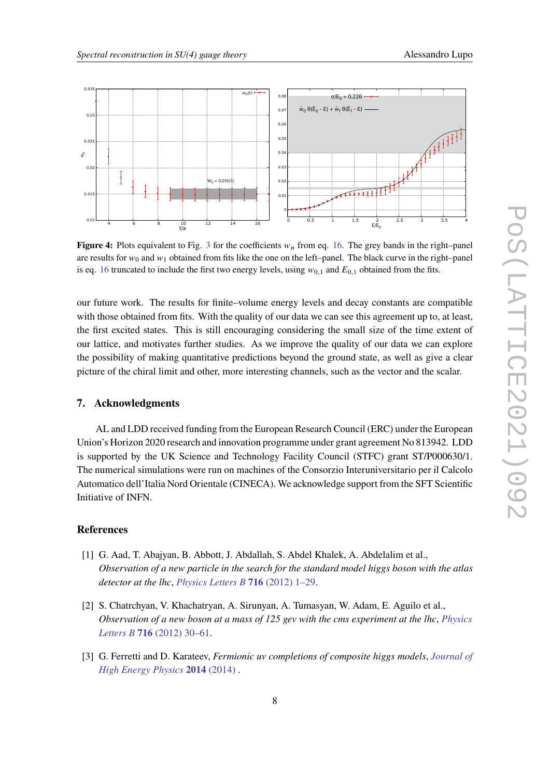

<span id="page-7-3"></span>

**Figure 4:** Plots equivalent to Fig. [3](#page-6-0) for the coefficients  $w<sub>n</sub>$  from eq. [16.](#page-6-1) The grey bands in the right–panel are results for  $w_0$  and  $w_1$  obtained from fits like the one on the left–panel. The black curve in the right–panel is eq. [16](#page-6-1) truncated to include the first two energy levels, using  $w_{0,1}$  and  $E_{0,1}$  obtained from the fits.

our future work. The results for finite–volume energy levels and decay constants are compatible with those obtained from fits. With the quality of our data we can see this agreement up to, at least, the first excited states. This is still encouraging considering the small size of the time extent of our lattice, and motivates further studies. As we improve the quality of our data we can explore the possibility of making quantitative predictions beyond the ground state, as well as give a clear picture of the chiral limit and other, more interesting channels, such as the vector and the scalar.

#### **7. Acknowledgments**

AL and LDD received funding from the European Research Council (ERC) under the European Union's Horizon 2020 research and innovation programme under grant agreement No 813942. LDD is supported by the UK Science and Technology Facility Council (STFC) grant ST/P000630/1. The numerical simulations were run on machines of the Consorzio Interuniversitario per il Calcolo Automatico dell'Italia Nord Orientale (CINECA). We acknowledge support from the SFT Scientific Initiative of INFN.

## **References**

- <span id="page-7-0"></span>[1] G. Aad, T. Abajyan, B. Abbott, J. Abdallah, S. Abdel Khalek, A. Abdelalim et al., *Observation of a new particle in the search for the standard model higgs boson with the atlas detector at the lhc*, *[Physics Letters B](https://doi.org/10.1016/j.physletb.2012.08.020)* **716** (2012) 1–29.
- <span id="page-7-1"></span>[2] S. Chatrchyan, V. Khachatryan, A. Sirunyan, A. Tumasyan, W. Adam, E. Aguilo et al., *Observation of a new boson at a mass of 125 gev with the cms experiment at the lhc*, *[Physics](https://doi.org/10.1016/j.physletb.2012.08.021) Letters B* **716** [\(2012\) 30–61.](https://doi.org/10.1016/j.physletb.2012.08.021)
- <span id="page-7-2"></span>[3] G. Ferretti and D. Karateev, *Fermionic uv completions of composite higgs models*, *[Journal of](https://doi.org/10.1007/jhep03(2014)077) [High Energy Physics](https://doi.org/10.1007/jhep03(2014)077)* **2014** (2014) .